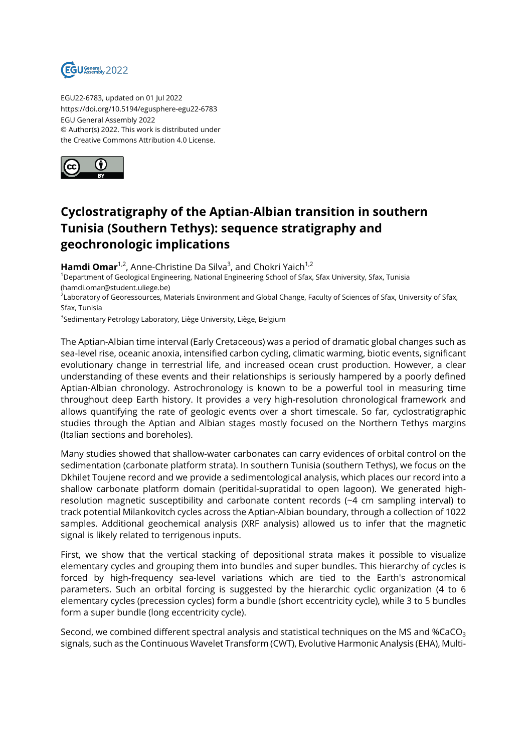

EGU22-6783, updated on 01 Jul 2022 https://doi.org/10.5194/egusphere-egu22-6783 EGU General Assembly 2022 © Author(s) 2022. This work is distributed under the Creative Commons Attribution 4.0 License.



## **Cyclostratigraphy of the Aptian-Albian transition in southern Tunisia (Southern Tethys): sequence stratigraphy and geochronologic implications**

**Hamdi Omar**<sup>1,2</sup>, Anne-Christine Da Silva<sup>3</sup>, and Chokri Yaich<sup>1,2</sup>

<sup>1</sup>Department of Geological Engineering, National Engineering School of Sfax, Sfax University, Sfax, Tunisia (hamdi.omar@student.uliege.be)

<sup>2</sup>Laboratory of Georessources, Materials Environment and Global Change, Faculty of Sciences of Sfax, University of Sfax, Sfax, Tunisia

<sup>3</sup>Sedimentary Petrology Laboratory, Liège University, Liège, Belgium

The Aptian-Albian time interval (Early Cretaceous) was a period of dramatic global changes such as sea-level rise, oceanic anoxia, intensified carbon cycling, climatic warming, biotic events, significant evolutionary change in terrestrial life, and increased ocean crust production. However, a clear understanding of these events and their relationships is seriously hampered by a poorly defined Aptian-Albian chronology. Astrochronology is known to be a powerful tool in measuring time throughout deep Earth history. It provides a very high-resolution chronological framework and allows quantifying the rate of geologic events over a short timescale. So far, cyclostratigraphic studies through the Aptian and Albian stages mostly focused on the Northern Tethys margins (Italian sections and boreholes).

Many studies showed that shallow-water carbonates can carry evidences of orbital control on the sedimentation (carbonate platform strata). In southern Tunisia (southern Tethys), we focus on the Dkhilet Toujene record and we provide a sedimentological analysis, which places our record into a shallow carbonate platform domain (peritidal-supratidal to open lagoon). We generated highresolution magnetic susceptibility and carbonate content records (~4 cm sampling interval) to track potential Milankovitch cycles across the Aptian-Albian boundary, through a collection of 1022 samples. Additional geochemical analysis (XRF analysis) allowed us to infer that the magnetic signal is likely related to terrigenous inputs.

First, we show that the vertical stacking of depositional strata makes it possible to visualize elementary cycles and grouping them into bundles and super bundles. This hierarchy of cycles is forced by high-frequency sea-level variations which are tied to the Earth's astronomical parameters. Such an orbital forcing is suggested by the hierarchic cyclic organization (4 to 6 elementary cycles (precession cycles) form a bundle (short eccentricity cycle), while 3 to 5 bundles form a super bundle (long eccentricity cycle).

Second, we combined different spectral analysis and statistical techniques on the MS and %CaCO<sub>3</sub> signals, such as the Continuous Wavelet Transform (CWT), Evolutive Harmonic Analysis (EHA), Multi